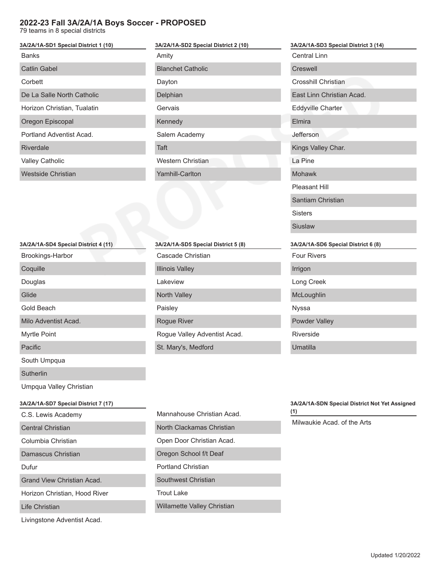## **2022-23 Fall 3A/2A/1A Boys Soccer - PROPOSED**

79 teams in 8 special districts

| 3A/2A/1A-SD1 Special District 1 (10) |  |  |
|--------------------------------------|--|--|
| <b>Banks</b>                         |  |  |
| Catlin Gabel                         |  |  |
| Corbett                              |  |  |
| De La Salle North Catholic           |  |  |
| Horizon Christian, Tualatin          |  |  |
| Oregon Episcopal                     |  |  |
| Portland Adventist Acad.             |  |  |
| Riverdale                            |  |  |
| <b>Valley Catholic</b>               |  |  |
| Westside Christian                   |  |  |
|                                      |  |  |

| 3A/2A/1A-SD2 Special District 2 (10) |  |  |
|--------------------------------------|--|--|
| Amity                                |  |  |
| <b>Blanchet Catholic</b>             |  |  |
| Dayton                               |  |  |
| Delphian                             |  |  |
| Gervais                              |  |  |
| Kennedy                              |  |  |
| Salem Academy                        |  |  |
| Taft                                 |  |  |
| Western Christian                    |  |  |
| <b>Yamhill-Carlton</b>               |  |  |
|                                      |  |  |

 $\overline{1}$ 

| ramniil-Cariton                     |
|-------------------------------------|
|                                     |
|                                     |
|                                     |
|                                     |
| 3A/2A/1A-SD5 Special District 5 (8) |
| Cascade Christian                   |
| <b>Illinois Valley</b>              |
| Lakeview                            |
| North Valley                        |
| Paisley                             |
| <b>Rogue River</b>                  |
| Rogue Valley Adventist Acad.        |
| St. Mary's, Medford                 |

| I a Pine                            |
|-------------------------------------|
| Mohawk                              |
| Pleasant Hill                       |
| Santiam Christian                   |
| <b>Sisters</b>                      |
| Siuslaw                             |
|                                     |
| 3A/2A/1A-SD6 Special District 6 (8) |
| <b>Four Rivers</b>                  |
| Irrigon                             |
| Long Creek                          |
| McLoughlin                          |
| Nyssa                               |

**3A/2A/1A-SD3 Special District 3 (14)**

Central Linn Creswell

Crosshill Christian

Eddyville Charter

Kings Valley Char.

Elmira Jefferson

East Linn Christian Acad.

| 3A/2A/1A-SD4 Special District 4 (11) |
|--------------------------------------|
| Brookings-Harbor                     |
| Coquille                             |
| Douglas                              |
| Glide                                |
| Gold Beach                           |
| Milo Adventist Acad.                 |
| <b>Myrtle Point</b>                  |
| Pacific                              |
| South Umpqua                         |
| Sutherlin                            |
|                                      |

Umpqua Valley Christian

## **3A/2A/1A-SD7 Special District 7 (17)**

C.S. Lewis Academy

Central Christian

Columbia Christian

Damascus Christian

Dufur

Grand View Christian Acad.

Horizon Christian, Hood River

Life Christian

Livingstone Adventist Acad.

| Mannahouse Christian Acad. |
|----------------------------|
| North Clackamas Christian  |
| Open Door Christian Acad.  |
| Oregon School f/t Deaf     |
| Portland Christian         |
| Southwest Christian        |
| Trout Lake                 |

Willamette Valley Christian

## **3A/2A/1A-SDN Special District Not Yet Assigned (1)**

Milwaukie Acad. of the Arts

Riverside

Umatilla